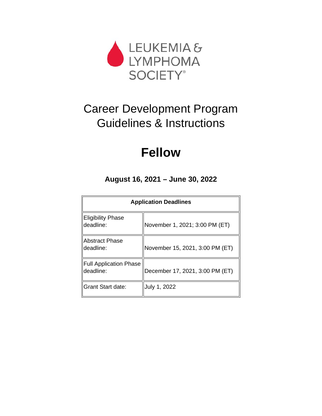

# Career Development Program Guidelines & Instructions

# **Fellow**

**August 16, 2021 – June 30, 2022**

| <b>Application Deadlines</b>          |                                 |  |
|---------------------------------------|---------------------------------|--|
| <b>Eligibility Phase</b><br>deadline: | November 1, 2021; 3:00 PM (ET)  |  |
| <b>IAbstract Phase</b><br>deadline:   | November 15, 2021, 3:00 PM (ET) |  |
| Full Application Phase<br>deadline:   | December 17, 2021, 3:00 PM (ET) |  |
| Grant Start date:                     | July 1, 2022                    |  |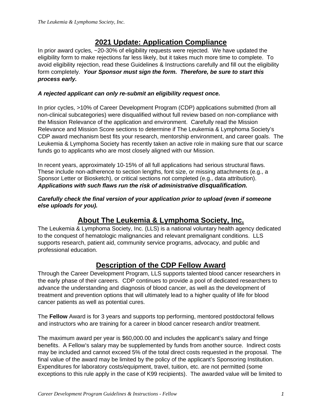# **2021 Update: Application Compliance**

In prior award cycles,  $\approx$ 20-30% of eligibility requests were rejected. We have updated the eligibility form to make rejections far less likely, but it takes much more time to complete. To avoid eligibility rejection, read these Guidelines & Instructions carefully and fill out the eligibility form completely. *Your Sponsor must sign the form. Therefore, be sure to start this process early.*

## *A rejected applicant can only re-submit an eligibility request once.*

In prior cycles, >10% of Career Development Program (CDP) applications submitted (from all non-clinical subcategories) were disqualified without full review based on non-compliance with the Mission Relevance of the application and environment. Carefully read the Mission Relevance and Mission Score sections to determine if The Leukemia & Lymphoma Society's CDP award mechanism best fits your research, mentorship environment, and career goals. The Leukemia & Lymphoma Society has recently taken an active role in making sure that our scarce funds go to applicants who are most closely aligned with our Mission.

In recent years, approximately 10-15% of all full applications had serious structural flaws. These include non-adherence to section lengths, font size, or missing attachments (e.g., a Sponsor Letter or Biosketch), or critical sections not completed (e.g., data attribution). *Applications with such flaws run the risk of administrative disqualification.*

#### *Carefully check the final version of your application prior to upload (even if someone else uploads for you).*

# **About The Leukemia & Lymphoma Society, Inc.**

The Leukemia & Lymphoma Society, Inc. (LLS) is a national voluntary health agency dedicated to the conquest of hematologic malignancies and relevant premalignant conditions. LLS supports research, patient aid, community service programs, advocacy, and public and professional education.

# **Description of the CDP Fellow Award**

Through the Career Development Program, LLS supports talented blood cancer researchers in the early phase of their careers. CDP continues to provide a pool of dedicated researchers to advance the understanding and diagnosis of blood cancer, as well as the development of treatment and prevention options that will ultimately lead to a higher quality of life for blood cancer patients as well as potential cures.

The **Fellow** Award is for 3 years and supports top performing, mentored postdoctoral fellows and instructors who are training for a career in blood cancer research and/or treatment.

The maximum award per year is \$60,000.00 and includes the applicant's salary and fringe benefits. A Fellow's salary may be supplemented by funds from another source. Indirect costs may be included and cannot exceed 5% of the total direct costs requested in the proposal. The final value of the award may be limited by the policy of the applicant's Sponsoring Institution. Expenditures for laboratory costs/equipment, travel, tuition, etc. are not permitted (some exceptions to this rule apply in the case of K99 recipients). The awarded value will be limited to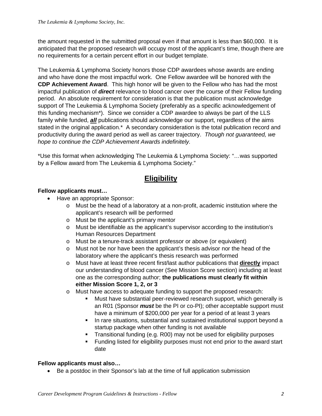the amount requested in the submitted proposal even if that amount is less than \$60,000. It is anticipated that the proposed research will occupy most of the applicant's time, though there are no requirements for a certain percent effort in our budget template.

The Leukemia & Lymphoma Society honors those CDP awardees whose awards are ending and who have done the most impactful work. One Fellow awardee will be honored with the **CDP Achievement Award**. This high honor will be given to the Fellow who has had the most impactful publication of *direct* relevance to blood cancer over the course of their Fellow funding period. An absolute requirement for consideration is that the publication must acknowledge support of The Leukemia & Lymphoma Society (preferably as a specific acknowledgement of this funding mechanism\*). Since we consider a CDP awardee to always be part of the LLS family while funded, *all* publications should acknowledge our support, regardless of the aims stated in the original application.<sup>\*</sup> A secondary consideration is the total publication record and productivity during the award period as well as career trajectory. *Though not guaranteed, we hope to continue the CDP Achievement Awards indefinitely.*

\*Use this format when acknowledging The Leukemia & Lymphoma Society: "…was supported by a Fellow award from The Leukemia & Lymphoma Society."

# **Eligibility**

#### **Fellow applicants must…**

- Have an appropriate Sponsor:
	- $\circ$  Must be the head of a laboratory at a non-profit, academic institution where the applicant's research will be performed
	- o Must be the applicant's primary mentor
	- o Must be identifiable as the applicant's supervisor according to the institution's Human Resources Department
	- o Must be a tenure-track assistant professor or above (or equivalent)
	- o Must not be nor have been the applicant's thesis advisor nor the head of the laboratory where the applicant's thesis research was performed
	- o Must have at least three recent first/last author publications that **directly** impact our understanding of blood cancer (See Mission Score section) including at least one as the corresponding author; **the publications must clearly fit within either Mission Score 1, 2, or 3**
	- o Must have access to adequate funding to support the proposed research:
		- Must have substantial peer-reviewed research support, which generally is an R01 (Sponsor *must* be the PI or co-PI); other acceptable support must have a minimum of \$200,000 per year for a period of at least 3 years
		- In rare situations, substantial and sustained institutional support beyond a startup package when other funding is not available
		- **Transitional funding (e.g. R00) may not be used for eligibility purposes**
		- Funding listed for eligibility purposes must not end prior to the award start date

#### **Fellow applicants must also…**

• Be a postdoc in their Sponsor's lab at the time of full application submission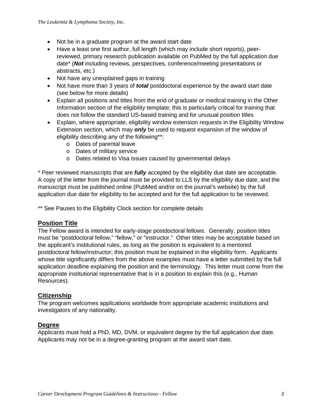- Not be in a graduate program at the award start date
- Have a least one first author, full length (which may include short reports), peerreviewed, primary research publication available on PubMed by the full application due date\* (*Not* including reviews, perspectives, conference/meeting presentations or abstracts, etc.)
- Not have any unexplained gaps in training
- Not have more than 3 years of *total* postdoctoral experience by the award start date (see below for more details)
- Explain all positions and titles from the end of graduate or medical training in the Other Information section of the eligibility template; this is particularly critical for training that does not follow the standard US-based training and for unusual position titles
- Explain, where appropriate, eligibility window extension requests in the Eligibility Window Extension section, which may *only* be used to request expansion of the window of eligibility describing any of the following\*\*:
	- o Dates of parental leave
	- o Dates of military service
	- o Dates related to Visa issues caused by governmental delays

\* Peer reviewed manuscripts that are *fully* accepted by the eligibility due date are acceptable. A copy of the letter from the journal must be provided to LLS by the eligibility due date, and the manuscript must be published online (PubMed and/or on the journal's website) by the full application due date for eligibility to be accepted and for the full application to be reviewed.

\*\* See Pauses to the Eligibility Clock section for complete details

## **Position Title**

The Fellow award is intended for early-stage postdoctoral fellows. Generally, position titles must be "postdoctoral fellow," "fellow," or "instructor." Other titles may be acceptable based on the applicant's institutional rules, as long as the position is equivalent to a mentored postdoctoral fellow/instructor; this position must be explained in the eligibility form. Applicants whose title significantly differs from the above examples must have a letter submitted by the full application deadline explaining the position and the terminology. This letter must come from the appropriate institutional representative that is in a position to explain this (e.g., Human Resources).

#### **Citizenship**

The program welcomes applications worldwide from appropriate academic institutions and investigators of any nationality.

#### **Degree**

Applicants must hold a PhD, MD, DVM, or equivalent degree by the full application due date. Applicants may not be in a degree-granting program at the award start date.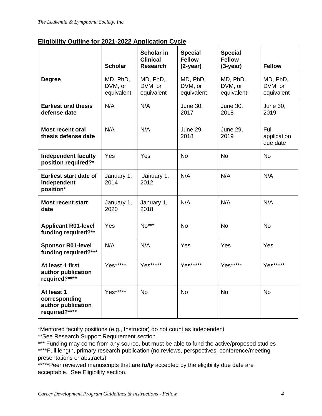# **Eligibility Outline for 2021-2022 Application Cycle**

|                                                                    | <b>Scholar</b>                    | Scholar in<br><b>Clinical</b><br><b>Research</b> | <b>Special</b><br><b>Fellow</b><br>$(2-year)$ | <b>Special</b><br><b>Fellow</b><br>$(3-year)$ | <b>Fellow</b>                     |
|--------------------------------------------------------------------|-----------------------------------|--------------------------------------------------|-----------------------------------------------|-----------------------------------------------|-----------------------------------|
| <b>Degree</b>                                                      | MD, PhD,<br>DVM, or<br>equivalent | MD, PhD,<br>DVM, or<br>equivalent                | MD, PhD,<br>DVM, or<br>equivalent             | MD, PhD,<br>DVM, or<br>equivalent             | MD, PhD,<br>DVM, or<br>equivalent |
| <b>Earliest oral thesis</b><br>defense date                        | N/A                               | N/A                                              | <b>June 30,</b><br>2017                       | <b>June 30,</b><br>2018                       | <b>June 30,</b><br>2019           |
| <b>Most recent oral</b><br>thesis defense date                     | N/A                               | N/A                                              | <b>June 29,</b><br>2018                       | <b>June 29,</b><br>2019                       | Full<br>application<br>due date   |
| <b>Independent faculty</b><br>position required?*                  | Yes                               | Yes                                              | <b>No</b>                                     | <b>No</b>                                     | <b>No</b>                         |
| <b>Earliest start date of</b><br>independent<br>position*          | January 1,<br>2014                | January 1,<br>2012                               | N/A                                           | N/A                                           | N/A                               |
| <b>Most recent start</b><br>date                                   | January 1,<br>2020                | January 1,<br>2018                               | N/A                                           | N/A                                           | N/A                               |
| <b>Applicant R01-level</b><br>funding required?**                  | Yes                               | No***                                            | <b>No</b>                                     | <b>No</b>                                     | <b>No</b>                         |
| <b>Sponsor R01-level</b><br>funding required?***                   | N/A                               | N/A                                              | Yes                                           | Yes                                           | Yes                               |
| At least 1 first<br>author publication<br>required?****            | Yes*****                          | Yes*****                                         | Yes*****                                      | Yes*****                                      | Yes*****                          |
| At least 1<br>corresponding<br>author publication<br>required?**** | Yes*****                          | <b>No</b>                                        | <b>No</b>                                     | <b>No</b>                                     | <b>No</b>                         |

\*Mentored faculty positions (e.g., Instructor) do not count as independent

\*\*See Research Support Requirement section

\*\*\* Funding may come from any source, but must be able to fund the active/proposed studies

\*\*\*\*Full length, primary research publication (no reviews, perspectives, conference/meeting presentations or abstracts)

\*\*\*\*\*Peer reviewed manuscripts that are *fully* accepted by the eligibility due date are acceptable. See Eligibility section.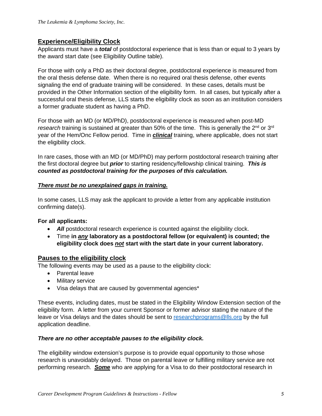#### **Experience/Eligibility Clock**

Applicants must have a *total* of postdoctoral experience that is less than or equal to 3 years by the award start date (see Eligibility Outline table).

For those with only a PhD as their doctoral degree, postdoctoral experience is measured from the oral thesis defense date. When there is no required oral thesis defense, other events signaling the end of graduate training will be considered. In these cases, details must be provided in the Other Information section of the eligibility form. In all cases, but typically after a successful oral thesis defense, LLS starts the eligibility clock as soon as an institution considers a former graduate student as having a PhD.

For those with an MD (or MD/PhD), postdoctoral experience is measured when post-MD *research* training is sustained at greater than 50% of the time. This is generally the 2<sup>nd</sup> or 3<sup>rd</sup> year of the Hem/Onc Fellow period. Time in *clinical* training, where applicable, does not start the eligibility clock.

In rare cases, those with an MD (or MD/PhD) may perform postdoctoral research training after the first doctoral degree but *prior* to starting residency/fellowship clinical training. *This is counted as postdoctoral training for the purposes of this calculation.*

#### *There must be no unexplained gaps in training.*

In some cases, LLS may ask the applicant to provide a letter from any applicable institution confirming date(s).

#### **For all applicants:**

- All postdoctoral research experience is counted against the eligibility clock.
- Time **in** *any* **laboratory as a postdoctoral fellow (or equivalent) is counted; the eligibility clock does** *not* **start with the start date in your current laboratory.**

#### **Pauses to the eligibility clock**

The following events may be used as a pause to the eligibility clock:

- Parental leave
- Military service
- Visa delays that are caused by governmental agencies\*

These events, including dates, must be stated in the Eligibility Window Extension section of the eligibility form. A letter from your current Sponsor or former advisor stating the nature of the leave or Visa delays and the dates should be sent to [researchprograms@lls.org](mailto:researchprograms@lls.org) by the full application deadline.

#### *There are no other acceptable pauses to the eligibility clock.*

The eligibility window extension's purpose is to provide equal opportunity to those whose research is unavoidably delayed. Those on parental leave or fulfilling military service are not performing research. *Some* who are applying for a Visa to do their postdoctoral research in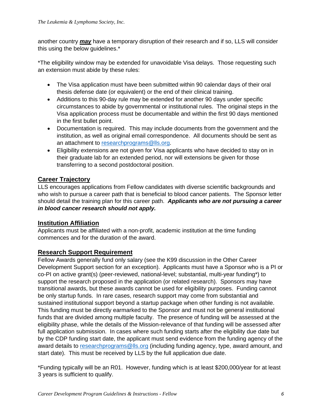another country *may* have a temporary disruption of their research and if so, LLS will consider this using the below guidelines.\*

\*The eligibility window may be extended for unavoidable Visa delays. Those requesting such an extension must abide by these rules:

- The Visa application must have been submitted within 90 calendar days of their oral thesis defense date (or equivalent) or the end of their clinical training.
- Additions to this 90-day rule may be extended for another 90 days under specific circumstances to abide by governmental or institutional rules. The original steps in the Visa application process must be documentable and within the first 90 days mentioned in the first bullet point.
- Documentation is required. This may include documents from the government and the institution, as well as original email correspondence. All documents should be sent as an attachment to [researchprograms@lls.org.](mailto:researchprograms@lls.org)
- Eligibility extensions are not given for Visa applicants who have decided to stay on in their graduate lab for an extended period, nor will extensions be given for those transferring to a second postdoctoral position.

# **Career Trajectory**

LLS encourages applications from Fellow candidates with diverse scientific backgrounds and who wish to pursue a career path that is beneficial to blood cancer patients. The Sponsor letter should detail the training plan for this career path. *Applicants who are not pursuing a career in blood cancer research should not apply.*

# **Institution Affiliation**

Applicants must be affiliated with a non-profit, academic institution at the time funding commences and for the duration of the award.

## **Research Support Requirement**

Fellow Awards generally fund only salary (see the K99 discussion in the Other Career Development Support section for an exception). Applicants must have a Sponsor who is a PI or co-PI on active grant(s) (peer-reviewed, national-level; substantial, multi-year funding\*) to support the research proposed in the application (or related research). Sponsors may have transitional awards, but these awards cannot be used for eligibility purposes. Funding cannot be only startup funds. In rare cases, research support may come from substantial and sustained institutional support beyond a startup package when other funding is not available. This funding must be directly earmarked to the Sponsor and must not be general institutional funds that are divided among multiple faculty. The presence of funding will be assessed at the eligibility phase, while the details of the Mission-relevance of that funding will be assessed after full application submission. In cases where such funding starts after the eligibility due date but by the CDP funding start date, the applicant must send evidence from the funding agency of the award details to [researchprograms@lls.org](mailto:researchprograms@lls.org) (including funding agency, type, award amount, and start date). This must be received by LLS by the full application due date.

\*Funding typically will be an R01. However, funding which is at least \$200,000/year for at least 3 years is sufficient to qualify.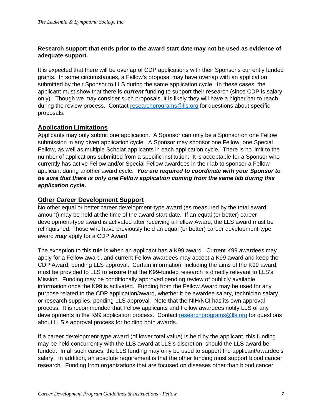#### **Research support that ends prior to the award start date may not be used as evidence of adequate support.**

It is expected that there will be overlap of CDP applications with their Sponsor's currently funded grants. In some circumstances, a Fellow's proposal may have overlap with an application submitted by their Sponsor to LLS during the same application cycle. In these cases, the applicant must show that there is *current* funding to support their research (since CDP is salary only). Though we may consider such proposals, it is likely they will have a higher bar to reach during the review process. Contact [researchprograms@lls.org](mailto:researchprograms@lls.org) for questions about specific proposals.

# **Application Limitations**

Applicants may only submit one application. A Sponsor can only be a Sponsor on one Fellow submission in any given application cycle. A Sponsor may sponsor one Fellow, one Special Fellow, as well as multiple Scholar applicants in each application cycle. There is no limit to the number of applications submitted from a specific institution. It is acceptable for a Sponsor who currently has active Fellow and/or Special Fellow awardees in their lab to sponsor a Fellow applicant during another award cycle. *You are required to coordinate with your Sponsor to be sure that there is only one Fellow application coming from the same lab during this application cycle.*

## **Other Career Development Support**

No other equal or better career development-type award (as measured by the total award amount) may be held at the time of the award start date. If an equal (or better) career development-type award is activated after receiving a Fellow Award, the LLS award must be relinquished. Those who have previously held an equal (or better) career development-type award *may* apply for a CDP Award.

The exception to this rule is when an applicant has a K99 award. Current K99 awardees may apply for a Fellow award, and current Fellow awardees may accept a K99 award and keep the CDP Award, pending LLS approval. Certain information, including the aims of the K99 award, must be provided to LLS to ensure that the K99-funded research is directly relevant to LLS's Mission. Funding may be conditionally approved pending review of publicly available information once the K99 is activated. Funding from the Fellow Award may be used for any purpose related to the CDP application/award, whether it be awardee salary, technician salary, or research supplies, pending LLS approval. Note that the NIH/NCI has its own approval process. It is recommended that Fellow applicants and Fellow awardees notify LLS of any developments in the K99 application process. Contact [researchprograms@lls.org](mailto:researchprograms@lls.org) for questions about LLS's approval process for holding both awards.

If a career development-type award (of lower total value) is held by the applicant, this funding may be held concurrently with the LLS award at LLS's discretion, should the LLS award be funded. In all such cases, the LLS funding may only be used to support the applicant/awardee's salary. In addition, an absolute requirement is that the other funding must support blood cancer research. Funding from organizations that are focused on diseases other than blood cancer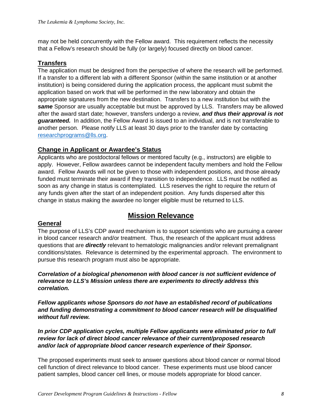may not be held concurrently with the Fellow award. This requirement reflects the necessity that a Fellow's research should be fully (or largely) focused directly on blood cancer.

#### **Transfers**

The application must be designed from the perspective of where the research will be performed. If a transfer to a different lab with a different Sponsor (within the same institution or at another institution) is being considered during the application process, the applicant must submit the application based on work that will be performed in the new laboratory and obtain the appropriate signatures from the new destination. Transfers to a new institution but with the *same* Sponsor are usually acceptable but must be approved by LLS. Transfers may be allowed after the award start date; however, transfers undergo a review, *and thus their approval is not guaranteed.* In addition, the Fellow Award is issued to an individual, and is not transferable to another person. Please notify LLS at least 30 days prior to the transfer date by contacting [researchprograms@lls.org.](mailto:researchprograms@lls.org)

## **Change in Applicant or Awardee's Status**

Applicants who are postdoctoral fellows or mentored faculty (e.g., instructors) are eligible to apply. However, Fellow awardees cannot be independent faculty members and hold the Fellow award. Fellow Awards will not be given to those with independent positions, and those already funded must terminate their award if they transition to independence. LLS must be notified as soon as any change in status is contemplated. LLS reserves the right to require the return of any funds given after the start of an independent position. Any funds dispersed after this change in status making the awardee no longer eligible must be returned to LLS.

# **Mission Relevance**

#### **General**

The purpose of LLS's CDP award mechanism is to support scientists who are pursuing a career in blood cancer research and/or treatment. Thus, the research of the applicant must address questions that are *directly* relevant to hematologic malignancies and/or relevant premalignant conditions/states. Relevance is determined by the experimental approach. The environment to pursue this research program must also be appropriate.

*Correlation of a biological phenomenon with blood cancer is not sufficient evidence of relevance to LLS's Mission unless there are experiments to directly address this correlation.*

*Fellow applicants whose Sponsors do not have an established record of publications and funding demonstrating a commitment to blood cancer research will be disqualified without full review.*

*In prior CDP application cycles, multiple Fellow applicants were eliminated prior to full review for lack of direct blood cancer relevance of their current/proposed research and/or lack of appropriate blood cancer research experience of their Sponsor.*

The proposed experiments must seek to answer questions about blood cancer or normal blood cell function of direct relevance to blood cancer. These experiments must use blood cancer patient samples, blood cancer cell lines, or mouse models appropriate for blood cancer.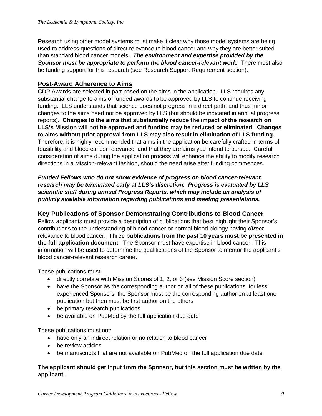Research using other model systems must make it clear why those model systems are being used to address questions of direct relevance to blood cancer and why they are better suited than standard blood cancer models*. The environment and expertise provided by the Sponsor must be appropriate to perform the blood cancer-relevant work.* There must also be funding support for this research (see Research Support Requirement section).

## **Post-Award Adherence to Aims**

CDP Awards are selected in part based on the aims in the application. LLS requires any substantial change to aims of funded awards to be approved by LLS to continue receiving funding. LLS understands that science does not progress in a direct path, and thus minor changes to the aims need not be approved by LLS (but should be indicated in annual progress reports). **Changes to the aims that substantially reduce the impact of the research on LLS's Mission will not be approved and funding may be reduced or eliminated. Changes to aims without prior approval from LLS may also result in elimination of LLS funding.**  Therefore, it is highly recommended that aims in the application be carefully crafted in terms of feasibility and blood cancer relevance, and that they are aims you intend to pursue. Careful consideration of aims during the application process will enhance the ability to modify research directions in a Mission-relevant fashion, should the need arise after funding commences.

*Funded Fellows who do not show evidence of progress on blood cancer-relevant research may be terminated early at LLS's discretion. Progress is evaluated by LLS scientific staff during annual Progress Reports, which may include an analysis of publicly available information regarding publications and meeting presentations.*

## **Key Publications of Sponsor Demonstrating Contributions to Blood Cancer**

Fellow applicants must provide a description of publications that best highlight their Sponsor's contributions to the understanding of blood cancer or normal blood biology having *direct* relevance to blood cancer. **Three publications from the past 10 years must be presented in the full application document**. The Sponsor must have expertise in blood cancer. This information will be used to determine the qualifications of the Sponsor to mentor the applicant's blood cancer-relevant research career.

These publications must:

- directly correlate with Mission Scores of 1, 2, or 3 (see Mission Score section)
- have the Sponsor as the corresponding author on all of these publications; for less experienced Sponsors, the Sponsor must be the corresponding author on at least one publication but then must be first author on the others
- be primary research publications
- be available on PubMed by the full application due date

These publications must not:

- have only an indirect relation or no relation to blood cancer
- be review articles
- be manuscripts that are not available on PubMed on the full application due date

#### **The applicant should get input from the Sponsor, but this section must be written by the applicant.**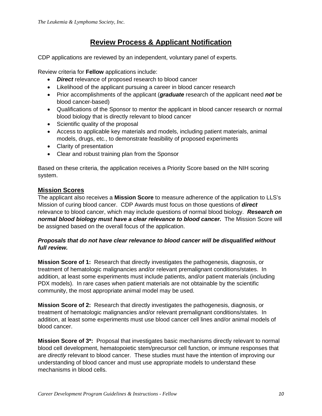# **Review Process & Applicant Notification**

CDP applications are reviewed by an independent, voluntary panel of experts.

Review criteria for **Fellow** applications include:

- *Direct* relevance of proposed research to blood cancer
- Likelihood of the applicant pursuing a career in blood cancer research
- Prior accomplishments of the applicant (*graduate* research of the applicant need *not* be blood cancer-based)
- Qualifications of the Sponsor to mentor the applicant in blood cancer research or normal blood biology that is directly relevant to blood cancer
- Scientific quality of the proposal
- Access to applicable key materials and models, including patient materials, animal models, drugs, etc., to demonstrate feasibility of proposed experiments
- Clarity of presentation
- Clear and robust training plan from the Sponsor

Based on these criteria, the application receives a Priority Score based on the NIH scoring system.

## **Mission Scores**

The applicant also receives a **Mission Score** to measure adherence of the application to LLS's Mission of curing blood cancer. CDP Awards must focus on those questions of *direct* relevance to blood cancer, which may include questions of normal blood biology. *Research on normal blood biology must have a clear relevance to blood cancer.* The Mission Score will be assigned based on the overall focus of the application.

#### *Proposals that do not have clear relevance to blood cancer will be disqualified without full review.*

**Mission Score of 1:** Research that directly investigates the pathogenesis, diagnosis, or treatment of hematologic malignancies and/or relevant premalignant conditions/states. In addition, at least some experiments must include patients, and/or patient materials (including PDX models). In rare cases when patient materials are not obtainable by the scientific community, the most appropriate animal model may be used.

**Mission Score of 2:** Research that directly investigates the pathogenesis, diagnosis, or treatment of hematologic malignancies and/or relevant premalignant conditions/states. In addition, at least some experiments must use blood cancer cell lines and/or animal models of blood cancer.

**Mission Score of 3\*:** Proposal that investigates basic mechanisms directly relevant to normal blood cell development, hematopoietic stem/precursor cell function, or immune responses that are *directly* relevant to blood cancer. These studies must have the intention of improving our understanding of blood cancer and must use appropriate models to understand these mechanisms in blood cells.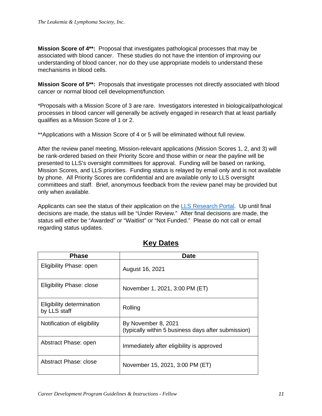**Mission Score of 4\*\*:** Proposal that investigates pathological processes that may be associated with blood cancer. These studies do not have the intention of improving our understanding of blood cancer, nor do they use appropriate models to understand these mechanisms in blood cells.

**Mission Score of 5\*\*:** Proposals that investigate processes not directly associated with blood cancer or normal blood cell development/function.

\*Proposals with a Mission Score of 3 are rare. Investigators interested in biological/pathological processes in blood cancer will generally be actively engaged in research that at least partially qualifies as a Mission Score of 1 or 2.

\*\*Applications with a Mission Score of 4 or 5 will be eliminated without full review.

After the review panel meeting, Mission-relevant applications (Mission Scores 1, 2, and 3) will be rank-ordered based on their Priority Score and those within or near the payline will be presented to LLS's oversight committees for approval. Funding will be based on ranking, Mission Scores, and LLS priorities. Funding status is relayed by email only and is not available by phone. All Priority Scores are confidential and are available only to LLS oversight committees and staff. Brief, anonymous feedback from the review panel may be provided but only when available.

Applicants can see the status of their application on the [LLS Research Portal.](https://lls.fluxx.io/) Up until final decisions are made, the status will be "Under Review." After final decisions are made, the status will either be "Awarded" or "Waitlist" or "Not Funded." Please do not call or email regarding status updates.

| <b>Phase</b>                              | Date                                                                       |
|-------------------------------------------|----------------------------------------------------------------------------|
| Eligibility Phase: open                   | August 16, 2021                                                            |
| <b>Eligibility Phase: close</b>           | November 1, 2021, 3:00 PM (ET)                                             |
| Eligibility determination<br>by LLS staff | Rolling                                                                    |
| Notification of eligibility               | By November 8, 2021<br>(typically within 5 business days after submission) |
| Abstract Phase: open                      | Immediately after eligibility is approved                                  |
| Abstract Phase: close                     | November 15, 2021, 3:00 PM (ET)                                            |

# **Key Dates**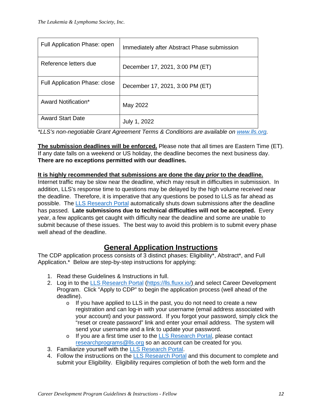| Full Application Phase: open  | Immediately after Abstract Phase submission |
|-------------------------------|---------------------------------------------|
| Reference letters due         | December 17, 2021, 3:00 PM (ET)             |
| Full Application Phase: close | December 17, 2021, 3:00 PM (ET)             |
| Award Notification*           | May 2022                                    |
| <b>Award Start Date</b>       | July 1, 2022                                |

*\*LLS's non-negotiable Grant Agreement Terms & Conditions are available on [www.lls.org.](http://www.lls.org/)* 

**The submission deadlines will be enforced.** Please note that all times are Eastern Time (ET). If any date falls on a weekend or US holiday, the deadline becomes the next business day. **There are no exceptions permitted with our deadlines.**

#### **It is highly recommended that submissions are done the day** *prior* **to the deadline.**

Internet traffic may be slow near the deadline, which may result in difficulties in submission. In addition, LLS's response time to questions may be delayed by the high volume received near the deadline. Therefore, it is imperative that any questions be posed to LLS as far ahead as possible. The [LLS Research Portal](https://lls.fluxx.io/) automatically shuts down submissions after the deadline has passed. **Late submissions due to technical difficulties will not be accepted.** Every year, a few applicants get caught with difficulty near the deadline and some are unable to submit because of these issues. The best way to avoid this problem is to submit every phase well ahead of the deadline.

# **General Application Instructions**

The CDP application process consists of 3 distinct phases: Eligibility\*, Abstract\*, and Full Application.\* Below are step-by-step instructions for applying:

- 1. Read these Guidelines & Instructions in full.
- 2. Log in to the LLS [Research](https://lls.fluxx.io/) Portal [\(https://lls.fluxx.io/\)](https://lls.fluxx.io/) and select Career Development Program. Click "Apply to CDP" to begin the application process (well ahead of the deadline).
	- $\circ$  If you have applied to LLS in the past, you do not need to create a new registration and can log-in with your username (email address associated with your account) and your password. If you forgot your password, simply click the "reset or create password" link and enter your email address. The system will send your username and a link to update your password.
	- o If you are a first time user to the [LLS Research Portal,](https://lls.fluxx.io/) please contact [researchprograms@lls.org](mailto:researchprograms@lls.org) so an account can be created for you.
- 3. Familiarize yourself with the [LLS Research Portal.](https://lls.fluxx.io/)
- 4. Follow the instructions on the [LLS Research Portal](https://lls.fluxx.io/) and this document to complete and submit your Eligibility. Eligibility requires completion of both the web form and the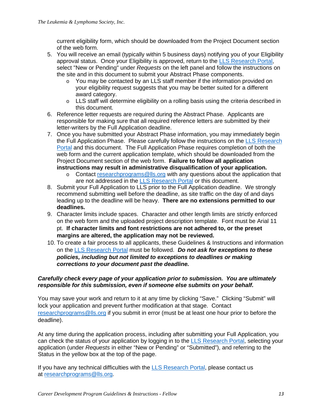current eligibility form, which should be downloaded from the Project Document section of the web form.

- 5. You will receive an email (typically within 5 business days) notifying you of your Eligibility approval status. Once your Eligibility is approved, return to the [LLS Research Portal,](https://lls.fluxx.io/) select "New or Pending" under *Requests* on the left panel and follow the instructions on the site and in this document to submit your Abstract Phase components.
	- o You may be contacted by an LLS staff member if the information provided on your eligibility request suggests that you may be better suited for a different award category.
	- $\circ$  LLS staff will determine eligibility on a rolling basis using the criteria described in this document.
- 6. Reference letter requests are required during the Abstract Phase. Applicants are responsible for making sure that all required reference letters are submitted by their letter-writers by the Full Application deadline.
- 7. Once you have submitted your Abstract Phase information, you may immediately begin the Full Application Phase. Please carefully follow the instructions on the [LLS Research](https://lls.fluxx.io/)  [Portal](https://lls.fluxx.io/) and this document. The Full Application Phase requires completion of both the web form and the current application template, which should be downloaded from the Project Document section of the web form. **Failure to follow all application instructions may result in administrative disqualification of your application.**
	- o Contact [researchprograms@lls.org](mailto:researchprograms@lls.org) with any questions about the application that are not addressed in the [LLS Research Portal](https://lls.fluxx.io/) or this document.
- 8. Submit your Full Application to LLS prior to the Full Application deadline. We strongly recommend submitting well before the deadline, as site traffic on the day of and days leading up to the deadline will be heavy. **There are no extensions permitted to our deadlines.**
- 9. Character limits include spaces. Character and other length limits are strictly enforced on the web form and the uploaded project description template. Font must be Arial 11 pt. **If character limits and font restrictions are not adhered to, or the preset margins are altered, the application may not be reviewed.**
- 10. To create a fair process to all applicants, these Guidelines & Instructions and information on the [LLS Research Portal](https://lls.fluxx.io/) must be followed. *Do not ask for exceptions to these policies, including but not limited to exceptions to deadlines or making corrections to your document past the deadline.*

#### *Carefully check every page of your application prior to submission. You are ultimately responsible for this submission, even if someone else submits on your behalf.*

You may save your work and return to it at any time by clicking "Save." Clicking "Submit" will lock your application and prevent further modification at that stage. Contact [researchprograms@lls.org](mailto:researchprograms@lls.org) if you submit in error (must be at least one hour prior to before the deadline).

At any time during the application process, including after submitting your Full Application, you can check the status of your application by logging in to the [LLS Research Portal,](https://lls.fluxx.io/) selecting your application (under *Requests* in either "New or Pending" or "Submitted"), and referring to the Status in the yellow box at the top of the page.

If you have any technical difficulties with the LLS [Research](https://lls.fluxx.io/) [Portal,](https://lls.fluxx.io/) please contact us at [researchprograms@lls.org.](mailto:researchprograms@lls.org)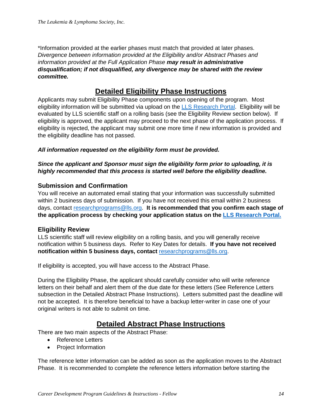\*Information provided at the earlier phases must match that provided at later phases. *Divergence between information provided at the Eligibility and/or Abstract Phases and information provided at the Full Application Phase may result in administrative disqualification; if not disqualified, any divergence may be shared with the review committee.*

# **Detailed Eligibility Phase Instructions**

Applicants may submit Eligibility Phase components upon opening of the program. Most eligibility information will be submitted via upload on the [LLS Research Portal.](https://lls.fluxx.io/) Eligibility will be evaluated by LLS scientific staff on a rolling basis (see the Eligibility Review section below). If eligibility is approved, the applicant may proceed to the next phase of the application process. If eligibility is rejected, the applicant may submit one more time if new information is provided and the eligibility deadline has not passed.

## *All information requested on the eligibility form must be provided.*

#### *Since the applicant and Sponsor must sign the eligibility form prior to uploading, it is highly recommended that this process is started well before the eligibility deadline.*

# **Submission and Confirmation**

You will receive an automated email stating that your information was successfully submitted within 2 business days of submission.If you have not received this email within 2 business days, contact [researchprograms@lls.org.](mailto:researchprograms@lls.org) **It is recommended that you confirm each stage of the application process by checking your application status on the LLS [Research Portal.](https://lls.fluxx.io/)**

# **Eligibility Review**

LLS scientific staff will review eligibility on a rolling basis, and you will generally receive notification within 5 business days. Refer to Key Dates for details. **If you have not received notification within 5 business days, contact** [researchprograms@lls.org.](mailto:researchprograms@lls.org)

If eligibility is accepted, you will have access to the Abstract Phase.

During the Eligibility Phase, the applicant should carefully consider who will write reference letters on their behalf and alert them of the due date for these letters (See Reference Letters subsection in the Detailed Abstract Phase Instructions). Letters submitted past the deadline will not be accepted. It is therefore beneficial to have a backup letter-writer in case one of your original writers is not able to submit on time.

# **Detailed Abstract Phase Instructions**

There are two main aspects of the Abstract Phase:

- Reference Letters
- Project Information

The reference letter information can be added as soon as the application moves to the Abstract Phase. It is recommended to complete the reference letters information before starting the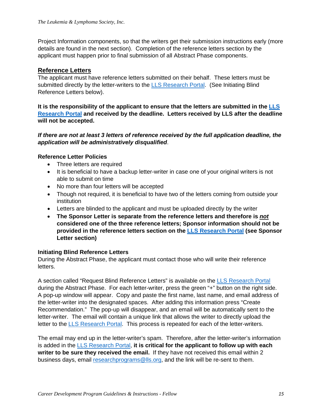Project Information components, so that the writers get their submission instructions early (more details are found in the next section). Completion of the reference letters section by the applicant must happen prior to final submission of all Abstract Phase components.

#### **Reference Letters**

The applicant must have reference letters submitted on their behalf. These letters must be submitted directly by the letter-writers to the [LLS Research Portal.](https://lls.fluxx.io/) (See Initiating Blind Reference Letters below).

**It is the responsibility of the applicant to ensure that the letters are submitted in the [LLS](https://lls.fluxx.io/)  [Research Portal](https://lls.fluxx.io/) and received by the deadline. Letters received by LLS after the deadline will not be accepted.**

*If there are not at least 3 letters of reference received by the full application deadline, the application will be administratively disqualified*.

#### **Reference Letter Policies**

- Three letters are required
- It is beneficial to have a backup letter-writer in case one of your original writers is not able to submit on time
- No more than four letters will be accepted
- Though not required, it is beneficial to have two of the letters coming from outside your institution
- Letters are blinded to the applicant and must be uploaded directly by the writer
- **The Sponsor Letter is separate from the reference letters and therefore is** *not* **considered one of the three reference letters; Sponsor information should not be provided in the reference letters section on the [LLS Research Portal](https://lls.fluxx.io/) (see Sponsor Letter section)**

#### **Initiating Blind Reference Letters**

During the Abstract Phase, the applicant must contact those who will write their reference letters.

A section called "Request Blind Reference Letters" is available on the [LLS Research Portal](https://lls.fluxx.io/) during the Abstract Phase. For each letter-writer, press the green "+" button on the right side. A pop-up window will appear. Copy and paste the first name, last name, and email address of the letter-writer into the designated spaces. After adding this information press "Create Recommendation." The pop-up will disappear, and an email will be automatically sent to the letter-writer. The email will contain a unique link that allows the writer to directly upload the letter to the [LLS Research Portal.](https://lls.fluxx.io/) This process is repeated for each of the letter-writers.

The email may end up in the letter-writer's spam. Therefore, after the letter-writer's information is added in the [LLS Research Portal,](https://lls.fluxx.io/) **it is critical for the applicant to follow up with each writer to be sure they received the email.** If they have not received this email within 2 business days, email [researchprograms@lls.org,](mailto:researchprograms@lls.org) and the link will be re-sent to them.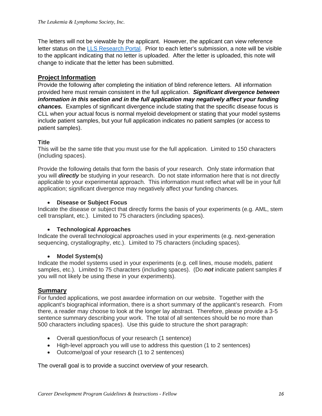The letters will not be viewable by the applicant. However, the applicant can view reference letter status on the [LLS Research Portal.](https://lls.fluxx.io/) Prior to each letter's submission, a note will be visible to the applicant indicating that no letter is uploaded. After the letter is uploaded, this note will change to indicate that the letter has been submitted.

## **Project Information**

Provide the following after completing the initiation of blind reference letters. All information provided here must remain consistent in the full application. *Significant divergence between information in this section and in the full application may negatively affect your funding chances.* Examples of significant divergence include stating that the specific disease focus is CLL when your actual focus is normal myeloid development or stating that your model systems include patient samples, but your full application indicates no patient samples (or access to patient samples).

#### **Title**

This will be the same title that you must use for the full application. Limited to 150 characters (including spaces).

Provide the following details that form the basis of your research. Only state information that you will *directly* be studying in your research. Do not state information here that is not directly applicable to your experimental approach. This information must reflect what will be in your full application; significant divergence may negatively affect your funding chances.

#### • **Disease or Subject Focus**

Indicate the disease or subject that directly forms the basis of your experiments (e.g. AML, stem cell transplant, etc.). Limited to 75 characters (including spaces).

#### • **Technological Approaches**

Indicate the overall technological approaches used in your experiments (e.g. next-generation sequencing, crystallography, etc.). Limited to 75 characters (including spaces).

#### • **Model System(s)**

Indicate the model systems used in your experiments (e.g. cell lines, mouse models, patient samples, etc.). Limited to 75 characters (including spaces). (Do *not* indicate patient samples if you will not likely be using these in your experiments).

#### **Summary**

For funded applications, we post awardee information on our website. Together with the applicant's biographical information, there is a short summary of the applicant's research. From there, a reader may choose to look at the longer lay abstract. Therefore, please provide a 3-5 sentence summary describing your work. The total of all sentences should be no more than 500 characters including spaces). Use this guide to structure the short paragraph:

- Overall question/focus of your research (1 sentence)
- High-level approach you will use to address this question (1 to 2 sentences)
- Outcome/goal of your research (1 to 2 sentences)

The overall goal is to provide a succinct overview of your research.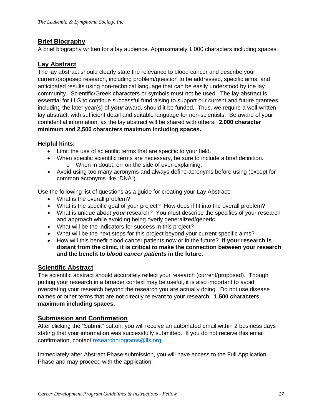## **Brief Biography**

A brief biography written for a lay audience. Approximately 1,000 characters including spaces.

## **Lay Abstract**

The lay abstract should clearly state the relevance to blood cancer and describe your current/proposed research, including problem/question to be addressed, specific aims, and anticipated results using non-technical language that can be easily understood by the lay community. Scientific/Greek characters or symbols must not be used. The lay abstract is essential for LLS to continue successful fundraising to support our current and future grantees, including the later year(s) of *your* award, should it be funded. Thus, we require a well-written lay abstract, with sufficient detail and suitable language for non-scientists. Be aware of your confidential information, as the lay abstract will be shared with others. **2,000 character minimum and 2,500 characters maximum including spaces.**

#### **Helpful hints:**

- Limit the use of scientific terms that are specific to your field.
- When specific scientific terms are necessary, be sure to include a brief definition. o When in doubt, err on the side of over-explaining.
- Avoid using too many acronyms and always define acronyms before using (except for common acronyms like "DNA").

Use the following list of questions as a guide for creating your Lay Abstract:

- What is the overall problem?
- What is the specific goal of your project? How does if fit into the overall problem?
- What is unique about *your* research? You must describe the specifics of your research and approach while avoiding being overly generalized/generic.
- What will be the indicators for success in this project?
- What will be the next steps for this project beyond your current specific aims?
- How will this benefit blood cancer patients now or in the future? **If your research is distant from the clinic, it is critical to make the connection between your research and the benefit to** *blood cancer patients* **in the future.**

#### **Scientific Abstract**

The scientific abstract should accurately reflect your research (current/proposed). Though putting your research in a broader context may be useful, it is also important to avoid overstating your research beyond the research you are actually doing. Do not use disease names or other terms that are not directly relevant to your research. **1,500 characters maximum including spaces.**

#### **Submission and Confirmation**

After clicking the "Submit" button, you will receive an automated email within 2 business days stating that your information was successfully submitted. If you do not receive this email confirmation, contact [researchprograms@lls.org.](mailto:researchprograms@lls.org)

Immediately after Abstract Phase submission, you will have access to the Full Application Phase and may proceed with the application.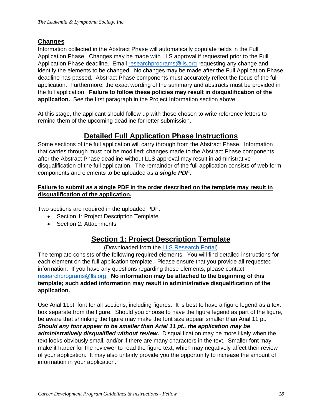## **Changes**

Information collected in the Abstract Phase will automatically populate fields in the Full Application Phase. Changes may be made with LLS approval if requested prior to the Full Application Phase deadline. Email [researchprograms@lls.org](mailto:researchprograms@lls.org) requesting any change and identify the elements to be changed. No changes may be made after the Full Application Phase deadline has passed. Abstract Phase components must accurately reflect the focus of the full application. Furthermore, the exact wording of the summary and abstracts must be provided in the full application. **Failure to follow these policies may result in disqualification of the application.** See the first paragraph in the Project Information section above.

At this stage, the applicant should follow up with those chosen to write reference letters to remind them of the upcoming deadline for letter submission.

# **Detailed Full Application Phase Instructions**

Some sections of the full application will carry through from the Abstract Phase. Information that carries through must not be modified; changes made to the Abstract Phase components after the Abstract Phase deadline without LLS approval may result in administrative disqualification of the full application. The remainder of the full application consists of web form components and elements to be uploaded as a *single PDF*.

#### **Failure to submit as a single PDF in the order described on the template may result in disqualification of the application.**

Two sections are required in the uploaded PDF:

- Section 1: Project Description Template
- Section 2: Attachments

# **Section 1: Project Description Template**

(Downloaded from the [LLS Research Portal\)](https://lls.fluxx.io/)

The template consists of the following required elements. You will find detailed instructions for each element on the full application template. Please ensure that you provide all requested information. If you have any questions regarding these elements, please contact [researchprograms@lls.org.](mailto:researchprograms@lls.org) **No information may be attached to the beginning of this template; such added information may result in administrative disqualification of the application.**

Use Arial 11pt. font for all sections, including figures. It is best to have a figure legend as a text box separate from the figure. Should you choose to have the figure legend as part of the figure, be aware that shrinking the figure may make the font size appear smaller than Arial 11 pt. *Should any font appear to be smaller than Arial 11 pt., the application may be administratively disqualified without review.* Disqualification may be more likely when the text looks obviously small, and/or if there are many characters in the text. Smaller font may make it harder for the reviewer to read the figure text, which may negatively affect their review of your application. It may also unfairly provide you the opportunity to increase the amount of information in your application.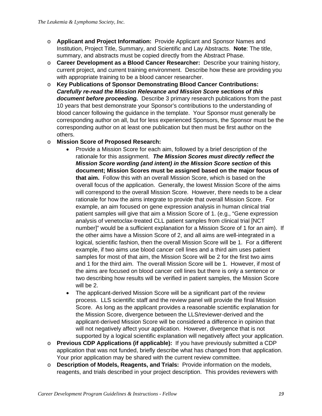- o **Applicant and Project Information:** Provide Applicant and Sponsor Names and Institution, Project Title, Summary, and Scientific and Lay Abstracts. **Note**: The title, summary, and abstracts must be copied directly from the Abstract Phase.
- o **Career Development as a Blood Cancer Researcher:** Describe your training history, current project, and current training environment. Describe how these are providing you with appropriate training to be a blood cancer researcher.
- o **Key Publications of Sponsor Demonstrating Blood Cancer Contributions:** *Carefully re-read the Mission Relevance and Mission Score sections of this document before proceeding.* Describe 3 primary research publications from the past 10 years that best demonstrate your Sponsor's contributions to the understanding of blood cancer following the guidance in the template. Your Sponsor must generally be corresponding author on all, but for less experienced Sponsors, the Sponsor must be the corresponding author on at least one publication but then must be first author on the others.
- o **Mission Score of Proposed Research:**
	- Provide a Mission Score for each aim, followed by a brief description of the rationale for this assignment. *The Mission Scores must directly reflect the Mission Score wording (and intent) in the Mission Score section* **of this document; Mission Scores must be assigned based on the major focus of that aim.** Follow this with an overall Mission Score, which is based on the overall focus of the application. Generally, the lowest Mission Score of the aims will correspond to the overall Mission Score. However, there needs to be a clear rationale for how the aims integrate to provide that overall Mission Score. For example, an aim focused on gene expression analysis in human clinical trial patient samples will give that aim a Mission Score of 1. (e.g., "Gene expression analysis of venetoclax-treated CLL patient samples from clinical trial [NCT number]" would be a sufficient explanation for a Mission Score of 1 for an aim). If the other aims have a Mission Score of 2, and all aims are well-integrated in a logical, scientific fashion, then the overall Mission Score will be 1. For a different example, if two aims use blood cancer cell lines and a third aim uses patient samples for most of that aim, the Mission Score will be 2 for the first two aims and 1 for the third aim. The overall Mission Score will be 1. However, if most of the aims are focused on blood cancer cell lines but there is only a sentence or two describing how results will be verified in patient samples, the Mission Score will be 2.
	- The applicant-derived Mission Score will be a significant part of the review process. LLS scientific staff and the review panel will provide the final Mission Score. As long as the applicant provides a reasonable scientific explanation for the Mission Score, divergence between the LLS/reviewer-derived and the applicant-derived Mission Score will be considered a difference in opinion that will not negatively affect your application. However, divergence that is not supported by a logical scientific explanation will negatively affect your application.
- o **Previous CDP Applications (if applicable):** If you have previously submitted a CDP application that was not funded, briefly describe what has changed from that application. Your prior application may be shared with the current review committee.
- o **Description of Models, Reagents, and Trials:** Provide information on the models, reagents, and trials described in your project description. This provides reviewers with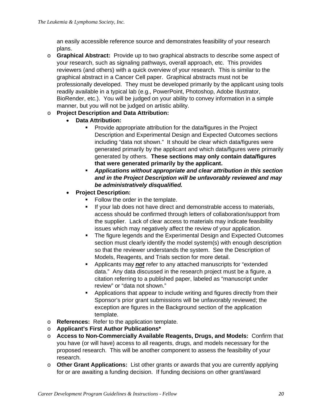an easily accessible reference source and demonstrates feasibility of your research plans.

- o **Graphical Abstract:** Provide up to two graphical abstracts to describe some aspect of your research, such as signaling pathways, overall approach, etc. This provides reviewers (and others) with a quick overview of your research. This is similar to the graphical abstract in a Cancer Cell paper. Graphical abstracts must not be professionally developed. They must be developed primarily by the applicant using tools readily available in a typical lab (e.g., PowerPoint, Photoshop, Adobe Illustrator, BioRender, etc.). You will be judged on your ability to convey information in a simple manner, but you will not be judged on artistic ability.
- o **Project Description and Data Attribution:**
	- **Data Attribution:**
		- **Provide appropriate attribution for the data/figures in the Project** Description and Experimental Design and Expected Outcomes sections including "data not shown." It should be clear which data/figures were generated primarily by the applicant and which data/figures were primarily generated by others. **These sections may only contain data/figures that were generated primarily by the applicant.**
		- *Applications without appropriate and clear attribution in this section and in the Project Description will be unfavorably reviewed and may be administratively disqualified.*
	- **Project Description:**
		- Follow the order in the template.
		- If your lab does not have direct and demonstrable access to materials, access should be confirmed through letters of collaboration/support from the supplier. Lack of clear access to materials may indicate feasibility issues which may negatively affect the review of your application.
		- The figure legends and the Experimental Design and Expected Outcomes section must clearly identify the model system(s) with enough description so that the reviewer understands the system. See the Description of Models, Reagents, and Trials section for more detail.
		- **EXECT** Applicants may **not** refer to any attached manuscripts for "extended data." Any data discussed in the research project must be a figure, a citation referring to a published paper, labeled as "manuscript under review" or "data not shown."
		- **•** Applications that appear to include writing and figures directly from their Sponsor's prior grant submissions will be unfavorably reviewed; the exception are figures in the Background section of the application template.
- o **References:** Refer to the application template.
- o **Applicant's First Author Publications\***
- o **Access to Non-Commercially Available Reagents, Drugs, and Models:** Confirm that you have (or will have) access to all reagents, drugs, and models necessary for the proposed research. This will be another component to assess the feasibility of your research.
- o **Other Grant Applications:** List other grants or awards that you are currently applying for or are awaiting a funding decision. If funding decisions on other grant/award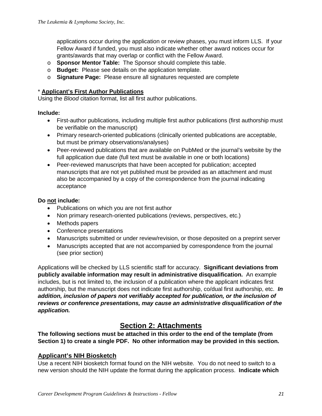applications occur during the application or review phases, you must inform LLS. If your Fellow Award if funded, you must also indicate whether other award notices occur for grants/awards that may overlap or conflict with the Fellow Award.

- o **Sponsor Mentor Table:** The Sponsor should complete this table.
- o **Budget:** Please see details on the application template.
- o **Signature Page:** Please ensure all signatures requested are complete

#### \* **Applicant's First Author Publications**

Using the *Blood* citation format, list all first author publications.

#### **Include:**

- First-author publications, including multiple first author publications (first authorship must be verifiable on the manuscript)
- Primary research-oriented publications (clinically oriented publications are acceptable, but must be primary observations/analyses)
- Peer-reviewed publications that are available on PubMed or the journal's website by the full application due date (full text must be available in one or both locations)
- Peer-reviewed manuscripts that have been accepted for publication; accepted manuscripts that are not yet published must be provided as an attachment and must also be accompanied by a copy of the correspondence from the journal indicating acceptance

#### **Do not include:**

- Publications on which you are not first author
- Non primary research-oriented publications (reviews, perspectives, etc.)
- Methods papers
- Conference presentations
- Manuscripts submitted or under review/revision, or those deposited on a preprint server
- Manuscripts accepted that are not accompanied by correspondence from the journal (see prior section)

Applications will be checked by LLS scientific staff for accuracy. **Significant deviations from publicly available information may result in administrative disqualification.** An example includes, but is not limited to, the inclusion of a publication where the applicant indicates first authorship, but the manuscript does not indicate first authorship, co/dual first authorship, etc. *In addition, inclusion of papers not verifiably accepted for publication, or the inclusion of reviews or conference presentations, may cause an administrative disqualification of the application.*

# **Section 2: Attachments**

**The following sections must be attached in this order to the end of the template (from Section 1) to create a single PDF. No other information may be provided in this section.**

#### **Applicant's NIH Biosketch**

Use a recent NIH biosketch format found on the NIH website. You do not need to switch to a new version should the NIH update the format during the application process. **Indicate which**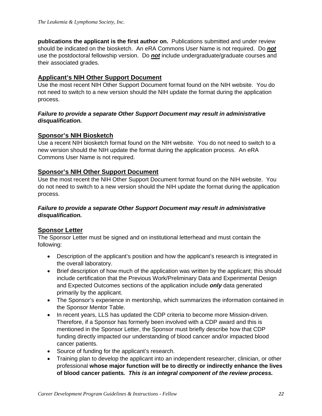**publications the applicant is the first author on.** Publications submitted and under review should be indicated on the biosketch. An eRA Commons User Name is not required. Do *not* use the postdoctoral fellowship version. Do *not* include undergraduate/graduate courses and their associated grades.

# **Applicant's NIH Other Support Document**

Use the most recent NIH Other Support Document format found on the NIH website. You do not need to switch to a new version should the NIH update the format during the application process.

#### *Failure to provide a separate Other Support Document may result in administrative disqualification.*

# **Sponsor's NIH Biosketch**

Use a recent NIH biosketch format found on the NIH website. You do not need to switch to a new version should the NIH update the format during the application process. An eRA Commons User Name is not required.

## **Sponsor's NIH Other Support Document**

Use the most recent the NIH Other Support Document format found on the NIH website. You do not need to switch to a new version should the NIH update the format during the application process.

#### *Failure to provide a separate Other Support Document may result in administrative disqualification.*

## **Sponsor Letter**

The Sponsor Letter must be signed and on institutional letterhead and must contain the following:

- Description of the applicant's position and how the applicant's research is integrated in the overall laboratory.
- Brief description of how much of the application was written by the applicant; this should include certification that the Previous Work/Preliminary Data and Experimental Design and Expected Outcomes sections of the application include *only* data generated primarily by the applicant.
- The Sponsor's experience in mentorship, which summarizes the information contained in the Sponsor Mentor Table.
- In recent years, LLS has updated the CDP criteria to become more Mission-driven. Therefore, if a Sponsor has formerly been involved with a CDP award and this is mentioned in the Sponsor Letter, the Sponsor must briefly describe how that CDP funding directly impacted our understanding of blood cancer and/or impacted blood cancer patients.
- Source of funding for the applicant's research.
- Training plan to develop the applicant into an independent researcher, clinician, or other professional **whose major function will be to directly or indirectly enhance the lives of blood cancer patients***. This is an integral component of the review process.*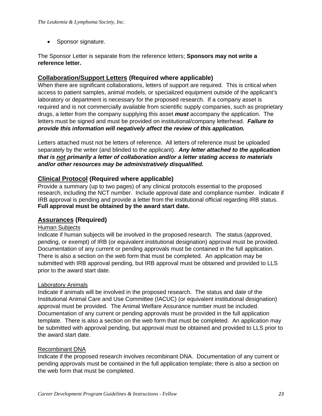• Sponsor signature.

The Sponsor Letter is separate from the reference letters; **Sponsors may not write a reference letter.** 

#### **Collaboration/Support Letters (Required where applicable)**

When there are significant collaborations, letters of support are required. This is critical when access to patient samples, animal models, or specialized equipment outside of the applicant's laboratory or department is necessary for the proposed research. If a company asset is required and is not commercially available from scientific supply companies, such as proprietary drugs, a letter from the company supplying this asset *must* accompany the application. The letters must be signed and must be provided on institutional/company letterhead. *Failure to provide this information will negatively affect the review of this application.*

Letters attached must not be letters of reference. All letters of reference must be uploaded separately by the writer (and blinded to the applicant). *Any letter attached to the application that is not primarily a letter of collaboration and/or a letter stating access to materials and/or other resources may be administratively disqualified.*

## **Clinical Protocol (Required where applicable)**

Provide a summary (up to two pages) of any clinical protocols essential to the proposed research, including the NCT number. Include approval date and compliance number. Indicate if IRB approval is pending and provide a letter from the institutional official regarding IRB status. **Full approval must be obtained by the award start date.**

#### **Assurances (Required)**

#### Human Subjects

Indicate if human subjects will be involved in the proposed research. The status (approved, pending, or exempt) of IRB (or equivalent institutional designation) approval must be provided. Documentation of any current or pending approvals must be contained in the full application. There is also a section on the web form that must be completed. An application may be submitted with IRB approval pending, but IRB approval must be obtained and provided to LLS prior to the award start date.

#### Laboratory Animals

Indicate if animals will be involved in the proposed research. The status and date of the Institutional Animal Care and Use Committee (IACUC) (or equivalent institutional designation) approval must be provided. The Animal Welfare Assurance number must be included. Documentation of any current or pending approvals must be provided in the full application template. There is also a section on the web form that must be completed. An application may be submitted with approval pending, but approval must be obtained and provided to LLS prior to the award start date.

#### Recombinant DNA

Indicate if the proposed research involves recombinant DNA. Documentation of any current or pending approvals must be contained in the full application template; there is also a section on the web form that must be completed.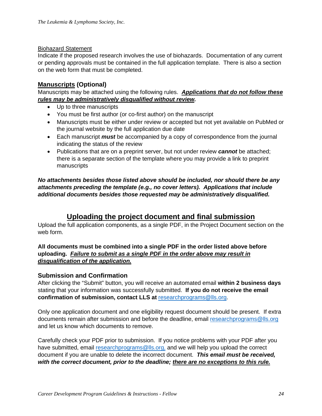#### Biohazard Statement

Indicate if the proposed research involves the use of biohazards. Documentation of any current or pending approvals must be contained in the full application template. There is also a section on the web form that must be completed.

# **Manuscripts (Optional)**

Manuscripts may be attached using the following rules. *Applications that do not follow these rules may be administratively disqualified without review.*

- Up to three manuscripts
- You must be first author (or co-first author) on the manuscript
- Manuscripts must be either under review or accepted but not yet available on PubMed or the journal website by the full application due date
- Each manuscript *must* be accompanied by a copy of correspondence from the journal indicating the status of the review
- Publications that are on a preprint server, but not under review *cannot* be attached; there is a separate section of the template where you may provide a link to preprint manuscripts

*No attachments besides those listed above should be included, nor should there be any attachments preceding the template (e.g., no cover letters). Applications that include additional documents besides those requested may be administratively disqualified.*

# **Uploading the project document and final submission**

Upload the full application components, as a single PDF, in the Project Document section on the web form.

**All documents must be combined into a single PDF in the order listed above before uploading.** *Failure to submit as a single PDF in the order above may result in disqualification of the application.*

## **Submission and Confirmation**

After clicking the "Submit" button, you will receive an automated email **within 2 business days**  stating that your information was successfully submitted. **If you do not receive the email confirmation of submission, contact LLS at**[researchprograms@lls.org.](mailto:researchprograms@lls.org)

Only one application document and one eligibility request document should be present. If extra documents remain after submission and before the deadline, email [researchprograms@lls.org](mailto:researchprograms@lls.org) and let us know which documents to remove.

Carefully check your PDF prior to submission. If you notice problems with your PDF after you have submitted, email [researchprograms@lls.org,](mailto:researchprograms@lls.org) and we will help you upload the correct document if you are unable to delete the incorrect document. *This email must be received, with the correct document, prior to the deadline; there are no exceptions to this rule.*